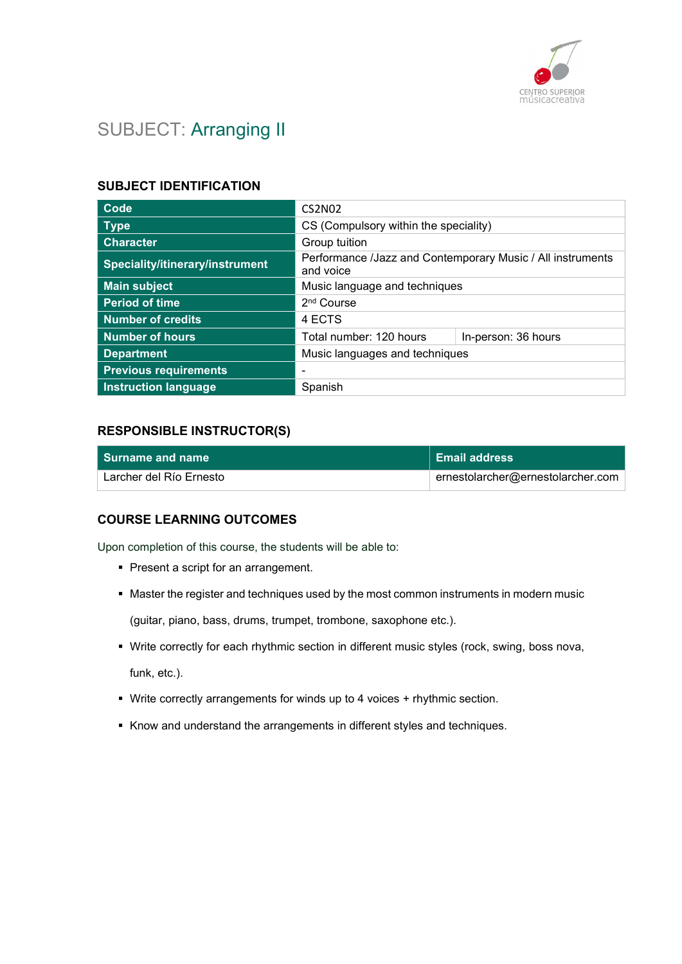

# SUBJECT: Arranging II

## SUBJECT IDENTIFICATION

| Code                            | <b>CS2N02</b>                                                           |                     |
|---------------------------------|-------------------------------------------------------------------------|---------------------|
| <b>Type</b>                     | CS (Compulsory within the speciality)                                   |                     |
| <b>Character</b>                | Group tuition                                                           |                     |
| Speciality/itinerary/instrument | Performance /Jazz and Contemporary Music / All instruments<br>and voice |                     |
| <b>Main subject</b>             | Music language and techniques                                           |                     |
| <b>Period of time</b>           | 2 <sup>nd</sup> Course                                                  |                     |
| <b>Number of credits</b>        | 4 ECTS                                                                  |                     |
| <b>Number of hours</b>          | Total number: 120 hours                                                 | In-person: 36 hours |
| <b>Department</b>               | Music languages and techniques                                          |                     |
| <b>Previous requirements</b>    | -                                                                       |                     |
| <b>Instruction language</b>     | Spanish                                                                 |                     |

#### RESPONSIBLE INSTRUCTOR(S)

| l Surname and name      | Email address                     |
|-------------------------|-----------------------------------|
| Larcher del Río Ernesto | ernestolarcher@ernestolarcher.com |

## COURSE LEARNING OUTCOMES

Upon completion of this course, the students will be able to:

- **Present a script for an arrangement.**
- Master the register and techniques used by the most common instruments in modern music

(guitar, piano, bass, drums, trumpet, trombone, saxophone etc.).

- Write correctly for each rhythmic section in different music styles (rock, swing, boss nova, funk, etc.).
- Write correctly arrangements for winds up to 4 voices + rhythmic section.
- Know and understand the arrangements in different styles and techniques.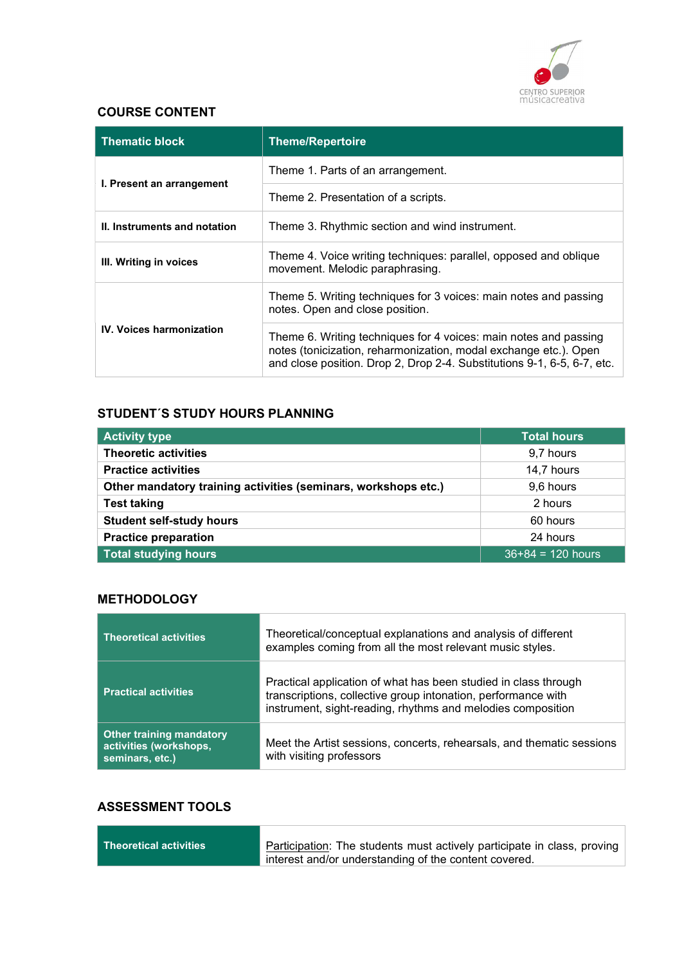

### COURSE CONTENT

| <b>Thematic block</b>           | <b>Theme/Repertoire</b>                                                                                                                                                                                         |
|---------------------------------|-----------------------------------------------------------------------------------------------------------------------------------------------------------------------------------------------------------------|
|                                 | Theme 1. Parts of an arrangement.                                                                                                                                                                               |
| I. Present an arrangement       | Theme 2. Presentation of a scripts.                                                                                                                                                                             |
| II. Instruments and notation    | Theme 3. Rhythmic section and wind instrument.                                                                                                                                                                  |
| III. Writing in voices          | Theme 4. Voice writing techniques: parallel, opposed and oblique<br>movement. Melodic paraphrasing.                                                                                                             |
|                                 | Theme 5. Writing techniques for 3 voices: main notes and passing<br>notes. Open and close position.                                                                                                             |
| <b>IV. Voices harmonization</b> | Theme 6. Writing techniques for 4 voices: main notes and passing<br>notes (tonicization, reharmonization, modal exchange etc.). Open<br>and close position. Drop 2, Drop 2-4. Substitutions 9-1, 6-5, 6-7, etc. |

### STUDENT´S STUDY HOURS PLANNING

| <b>Activity type</b>                                           | <b>Total hours</b>  |
|----------------------------------------------------------------|---------------------|
| <b>Theoretic activities</b>                                    | 9,7 hours           |
| <b>Practice activities</b>                                     | 14,7 hours          |
| Other mandatory training activities (seminars, workshops etc.) | 9,6 hours           |
| <b>Test taking</b>                                             | 2 hours             |
| <b>Student self-study hours</b>                                | 60 hours            |
| <b>Practice preparation</b>                                    | 24 hours            |
| <b>Total studying hours</b>                                    | $36+84 = 120$ hours |

#### **METHODOLOGY**

| <b>Theoretical activities</b>                                                | Theoretical/conceptual explanations and analysis of different<br>examples coming from all the most relevant music styles.                                                                       |
|------------------------------------------------------------------------------|-------------------------------------------------------------------------------------------------------------------------------------------------------------------------------------------------|
| <b>Practical activities</b>                                                  | Practical application of what has been studied in class through<br>transcriptions, collective group intonation, performance with<br>instrument, sight-reading, rhythms and melodies composition |
| <b>Other training mandatory</b><br>activities (workshops,<br>seminars, etc.) | Meet the Artist sessions, concerts, rehearsals, and thematic sessions<br>with visiting professors                                                                                               |

## ASSESSMENT TOOLS

| $\mid$ Theoretical activities $\mid$ | Participation: The students must actively participate in class, proving |
|--------------------------------------|-------------------------------------------------------------------------|
|                                      | interest and/or understanding of the content covered.                   |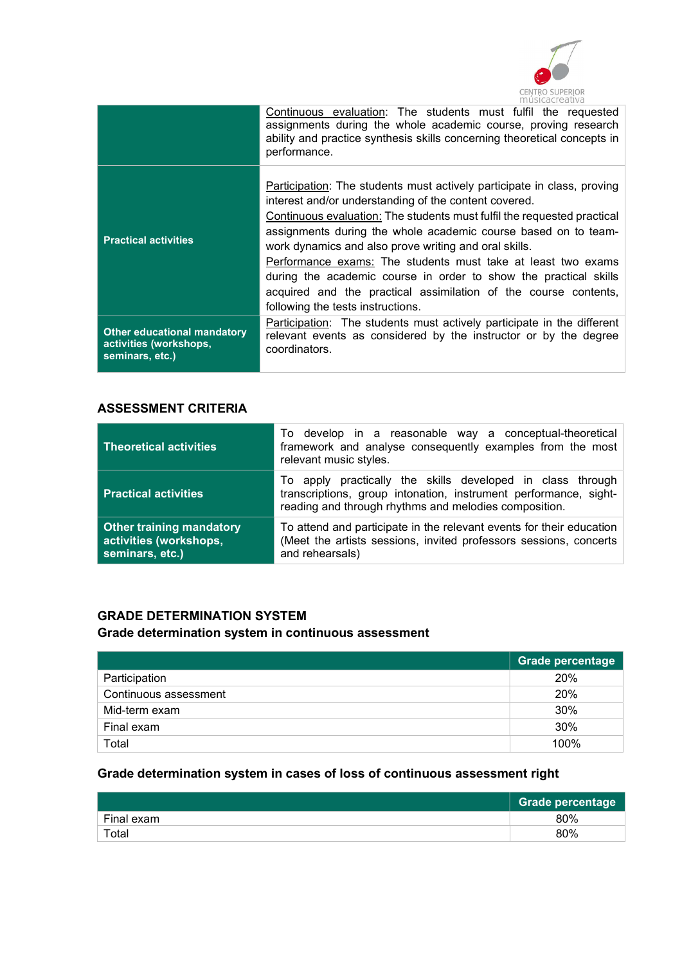

|                                                                          | Continuous evaluation: The students must fulfil the requested<br>assignments during the whole academic course, proving research<br>ability and practice synthesis skills concerning theoretical concepts in<br>performance.                                                                                                                                                                                                                                                                                                                                                        |
|--------------------------------------------------------------------------|------------------------------------------------------------------------------------------------------------------------------------------------------------------------------------------------------------------------------------------------------------------------------------------------------------------------------------------------------------------------------------------------------------------------------------------------------------------------------------------------------------------------------------------------------------------------------------|
| <b>Practical activities</b>                                              | Participation: The students must actively participate in class, proving<br>interest and/or understanding of the content covered.<br>Continuous evaluation: The students must fulfil the requested practical<br>assignments during the whole academic course based on to team-<br>work dynamics and also prove writing and oral skills.<br>Performance exams: The students must take at least two exams<br>during the academic course in order to show the practical skills<br>acquired and the practical assimilation of the course contents,<br>following the tests instructions. |
| Other educational mandatory<br>activities (workshops,<br>seminars, etc.) | Participation: The students must actively participate in the different<br>relevant events as considered by the instructor or by the degree<br>coordinators.                                                                                                                                                                                                                                                                                                                                                                                                                        |

#### ASSESSMENT CRITERIA

| <b>Theoretical activities</b>                                                | To develop in a reasonable way a conceptual-theoretical<br>framework and analyse consequently examples from the most<br>relevant music styles.                                          |
|------------------------------------------------------------------------------|-----------------------------------------------------------------------------------------------------------------------------------------------------------------------------------------|
| <b>Practical activities</b>                                                  | To apply practically the skills developed in class through<br>transcriptions, group intonation, instrument performance, sight-<br>reading and through rhythms and melodies composition. |
| <b>Other training mandatory</b><br>activities (workshops,<br>seminars, etc.) | To attend and participate in the relevant events for their education<br>(Meet the artists sessions, invited professors sessions, concerts<br>and rehearsals)                            |

### GRADE DETERMINATION SYSTEM Grade determination system in continuous assessment

|                       | Grade percentage |
|-----------------------|------------------|
| Participation         | 20%              |
| Continuous assessment | 20%              |
| Mid-term exam         | 30%              |
| Final exam            | 30%              |
| Total                 | 100%             |

## Grade determination system in cases of loss of continuous assessment right

|            | <b>Grade percentage</b> |
|------------|-------------------------|
| Final exam | 80%                     |
| Total      | 80%                     |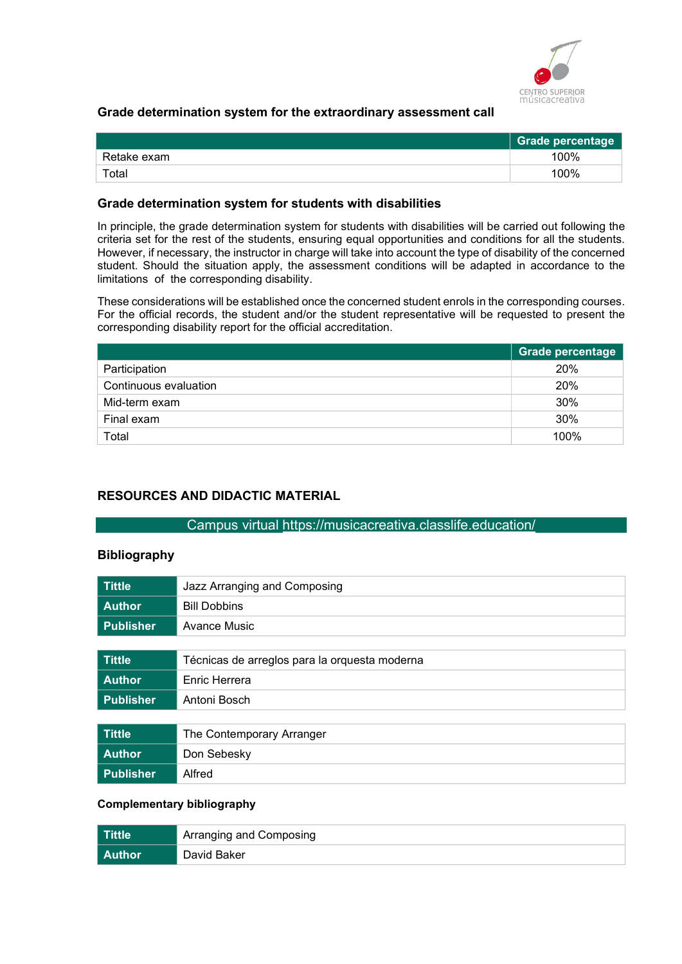

#### Grade determination system for the extraordinary assessment call

|             | <b>Grade percentage</b> |
|-------------|-------------------------|
| Retake exam | 100%                    |
| $\tau$ otal | 100%                    |

#### Grade determination system for students with disabilities

In principle, the grade determination system for students with disabilities will be carried out following the criteria set for the rest of the students, ensuring equal opportunities and conditions for all the students. However, if necessary, the instructor in charge will take into account the type of disability of the concerned student. Should the situation apply, the assessment conditions will be adapted in accordance to the limitations of the corresponding disability.

These considerations will be established once the concerned student enrols in the corresponding courses. For the official records, the student and/or the student representative will be requested to present the corresponding disability report for the official accreditation.

|                       | Grade percentage |
|-----------------------|------------------|
| Participation         | 20%              |
| Continuous evaluation | 20%              |
| Mid-term exam         | 30%              |
| Final exam            | 30%              |
| Total                 | 100%             |

#### RESOURCES AND DIDACTIC MATERIAL

#### Campus virtual https://musicacreativa.classlife.education/

#### **Bibliography**

| <b>Tittle</b>    | Jazz Arranging and Composing                  |
|------------------|-----------------------------------------------|
| <b>Author</b>    | <b>Bill Dobbins</b>                           |
| <b>Publisher</b> | Avance Music                                  |
|                  |                                               |
| <b>Tittle</b>    | Técnicas de arreglos para la orquesta moderna |
| <b>Author</b>    | Enric Herrera                                 |
| <b>Publisher</b> | Antoni Bosch                                  |
|                  |                                               |
| <b>Tittle</b>    | The Contemporary Arranger                     |
| <b>Author</b>    | Don Sebesky                                   |
| <b>Publisher</b> | Alfred                                        |

#### Complementary bibliography

| Tittle   | Arranging and Composing |
|----------|-------------------------|
| l Author | David Baker             |